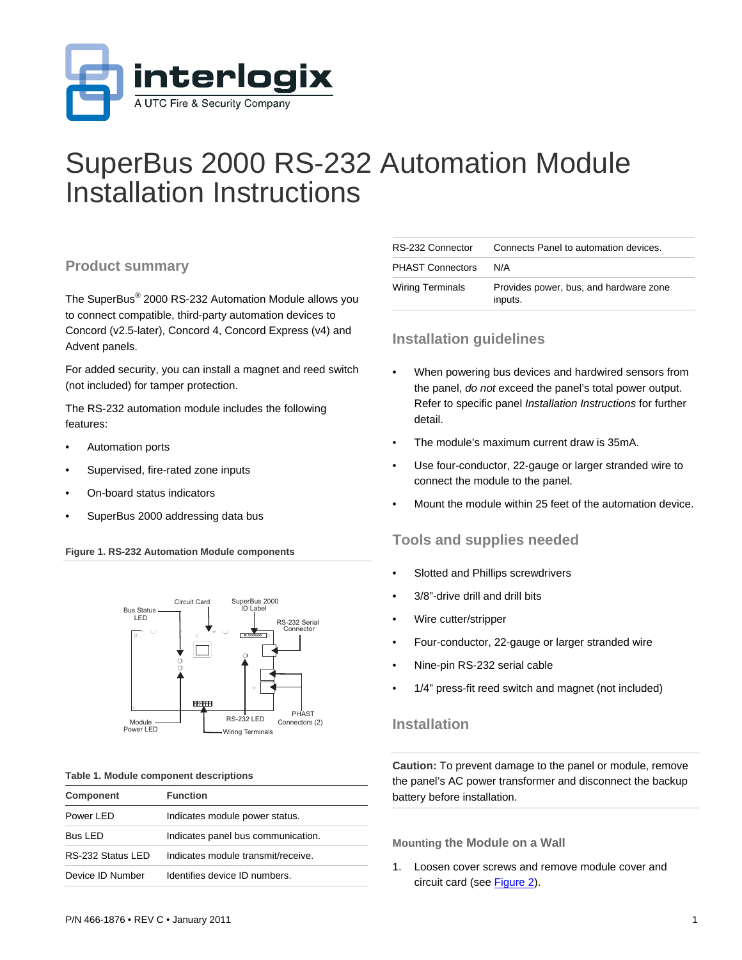

# SuperBus 2000 RS-232 Automation Module Installation Instructions

### **Product summary**

The SuperBus® 2000 RS-232 Automation Module allows you to connect compatible, third-party automation devices to Concord (v2.5-later), Concord 4, Concord Express (v4) and Advent panels.

For added security, you can install a magnet and reed switch (not included) for tamper protection.

The RS-232 automation module includes the following features:

- Automation ports
- Supervised, fire-rated zone inputs
- On-board status indicators
- SuperBus 2000 addressing data bus

#### **Figure 1. RS-232 Automation Module components**



#### **Table 1. Module component descriptions**

| <b>Component</b>  | <b>Function</b>                    |
|-------------------|------------------------------------|
| Power LED         | Indicates module power status.     |
| <b>Bus LED</b>    | Indicates panel bus communication. |
| RS-232 Status LED | Indicates module transmit/receive  |
| Device ID Number  | Identifies device ID numbers.      |

| RS-232 Connector        | Connects Panel to automation devices.             |
|-------------------------|---------------------------------------------------|
| <b>PHAST Connectors</b> | N/A                                               |
| <b>Wiring Terminals</b> | Provides power, bus, and hardware zone<br>inputs. |

### **Installation guidelines**

- When powering bus devices and hardwired sensors from the panel, *do not* exceed the panel's total power output. Refer to specific panel *Installation Instructions* for further detail.
- The module's maximum current draw is 35mA.
- Use four-conductor, 22-gauge or larger stranded wire to connect the module to the panel.
- Mount the module within 25 feet of the automation device.

### **Tools and supplies needed**

- Slotted and Phillips screwdrivers
- 3/8"-drive drill and drill bits
- Wire cutter/stripper
- Four-conductor, 22-gauge or larger stranded wire
- Nine-pin RS-232 serial cable
- 1/4" press-fit reed switch and magnet (not included)

### **Installation**

**Caution:** To prevent damage to the panel or module, remove the panel's AC power transformer and disconnect the backup battery before installation.

**Mounting the Module on a Wall** 

1. Loosen cover screws and remove module cover and circuit card (see [Figure 2\)](#page-1-0).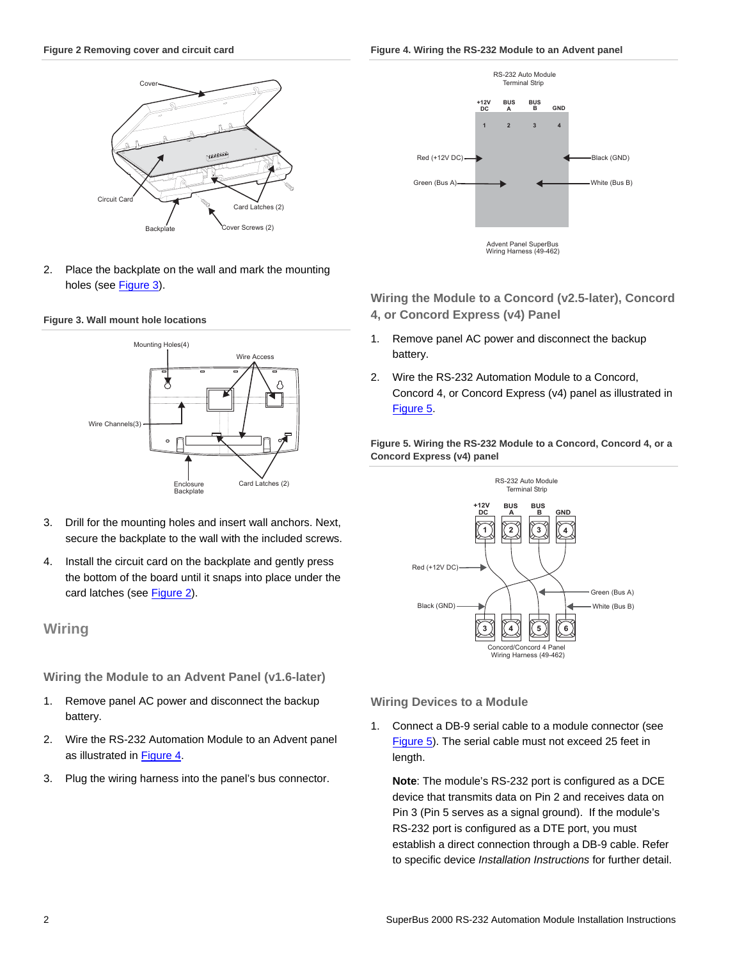<span id="page-1-0"></span>**Figure 2 Removing cover and circuit card** 





2. Place the backplate on the wall and mark the mounting holes (see [Figure 3\)](#page-1-1).

#### <span id="page-1-1"></span>**Figure 3. Wall mount hole locations**



- <span id="page-1-2"></span>3. Drill for the mounting holes and insert wall anchors. Next, secure the backplate to the wall with the included screws.
- 4. Install the circuit card on the backplate and gently press the bottom of the board until it snaps into place under the card latches (see [Figure 2\)](#page-1-0).

### **Wiring**

**Wiring the Module to an Advent Panel (v1.6-later)** 

- 1. Remove panel AC power and disconnect the backup battery.
- 2. Wire the RS-232 Automation Module to an Advent panel as illustrated in [Figure 4](#page-1-0).
- 3. Plug the wiring harness into the panel's bus connector.



**Wiring the Module to a Concord (v2.5-later), Concord 4, or Concord Express (v4) Panel** 

- 1. Remove panel AC power and disconnect the backup battery.
- 2. Wire the RS-232 Automation Module to a Concord, Concord 4, or Concord Express (v4) panel as illustrated in [Figure 5.](#page-1-2)

**Figure 5. Wiring the RS-232 Module to a Concord, Concord 4, or a Concord Express (v4) panel** 



**Wiring Devices to a Module** 

1. Connect a DB-9 serial cable to a module connector (see [Figure 5\)](#page-1-2). The serial cable must not exceed 25 feet in length.

**Note**: The module's RS-232 port is configured as a DCE device that transmits data on Pin 2 and receives data on Pin 3 (Pin 5 serves as a signal ground). If the module's RS-232 port is configured as a DTE port, you must establish a direct connection through a DB-9 cable. Refer to specific device *Installation Instructions* for further detail.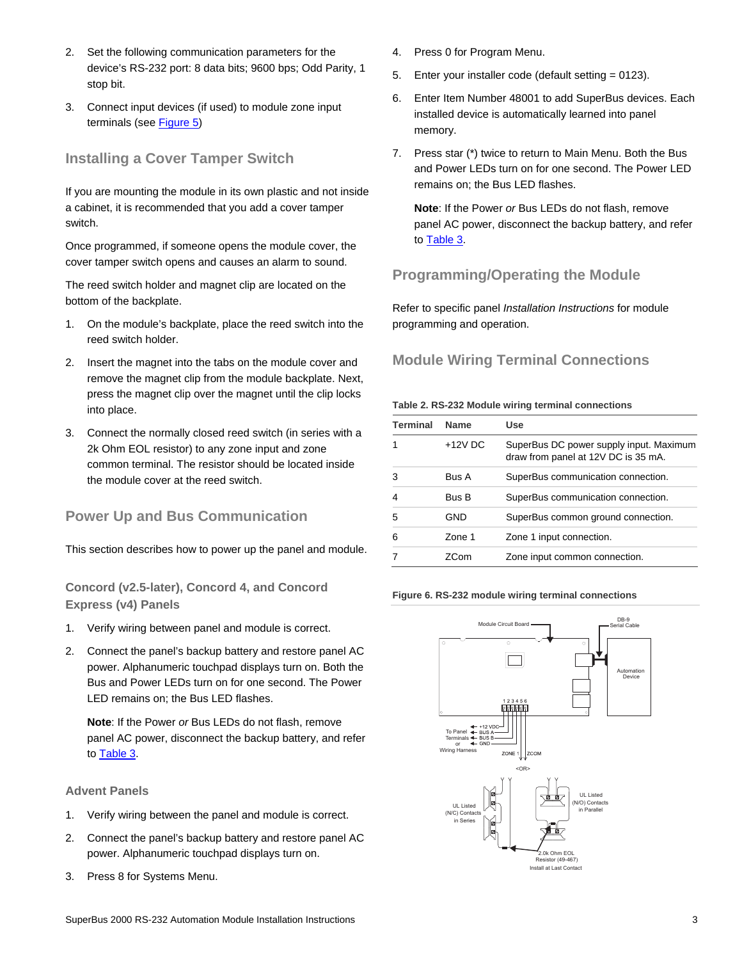- 2. Set the following communication parameters for the device's RS-232 port: 8 data bits; 9600 bps; Odd Parity, 1 stop bit.
- 3. Connect input devices (if used) to module zone input terminals (see [Figure 5\)](#page-1-2)

### **Installing a Cover Tamper Switch**

If you are mounting the module in its own plastic and not inside a cabinet, it is recommended that you add a cover tamper switch.

Once programmed, if someone opens the module cover, the cover tamper switch opens and causes an alarm to sound.

The reed switch holder and magnet clip are located on the bottom of the backplate.

- 1. On the module's backplate, place the reed switch into the reed switch holder.
- 2. Insert the magnet into the tabs on the module cover and remove the magnet clip from the module backplate. Next, press the magnet clip over the magnet until the clip locks into place.
- 3. Connect the normally closed reed switch (in series with a 2k Ohm EOL resistor) to any zone input and zone common terminal. The resistor should be located inside the module cover at the reed switch.

### **Power Up and Bus Communication**

This section describes how to power up the panel and module.

**Concord (v2.5-later), Concord 4, and Concord Express (v4) Panels** 

- 1. Verify wiring between panel and module is correct.
- 2. Connect the panel's backup battery and restore panel AC power. Alphanumeric touchpad displays turn on. Both the Bus and Power LEDs turn on for one second. The Power LED remains on; the Bus LED flashes.

**Note**: If the Power *or* Bus LEDs do not flash, remove panel AC power, disconnect the backup battery, and refer to [Table 3](#page-3-0).

### **Advent Panels**

- 1. Verify wiring between the panel and module is correct.
- 2. Connect the panel's backup battery and restore panel AC power. Alphanumeric touchpad displays turn on.
- 3. Press 8 for Systems Menu.
- 4. Press 0 for Program Menu.
- 5. Enter your installer code (default setting = 0123).
- 6. Enter Item Number 48001 to add SuperBus devices. Each installed device is automatically learned into panel memory.
- 7. Press star (\*) twice to return to Main Menu. Both the Bus and Power LEDs turn on for one second. The Power LED remains on; the Bus LED flashes.

**Note**: If the Power *or* Bus LEDs do not flash, remove panel AC power, disconnect the backup battery, and refer to [Table 3](#page-3-0).

## **Programming/Operating the Module**

Refer to specific panel *Installation Instructions* for module programming and operation.

### **Module Wiring Terminal Connections**

#### **Table 2. RS-232 Module wiring terminal connections**

| <b>Terminal</b> | <b>Name</b>  | Use                                                                            |
|-----------------|--------------|--------------------------------------------------------------------------------|
|                 | $+12V$ DC    | SuperBus DC power supply input. Maximum<br>draw from panel at 12V DC is 35 mA. |
| 3               | <b>Bus A</b> | SuperBus communication connection.                                             |
| 4               | <b>Bus B</b> | SuperBus communication connection.                                             |
| 5               | GND          | SuperBus common ground connection.                                             |
| 6               | Zone 1       | Zone 1 input connection.                                                       |
|                 | ZCom         | Zone input common connection.                                                  |

#### **Figure 6. RS-232 module wiring terminal connections**